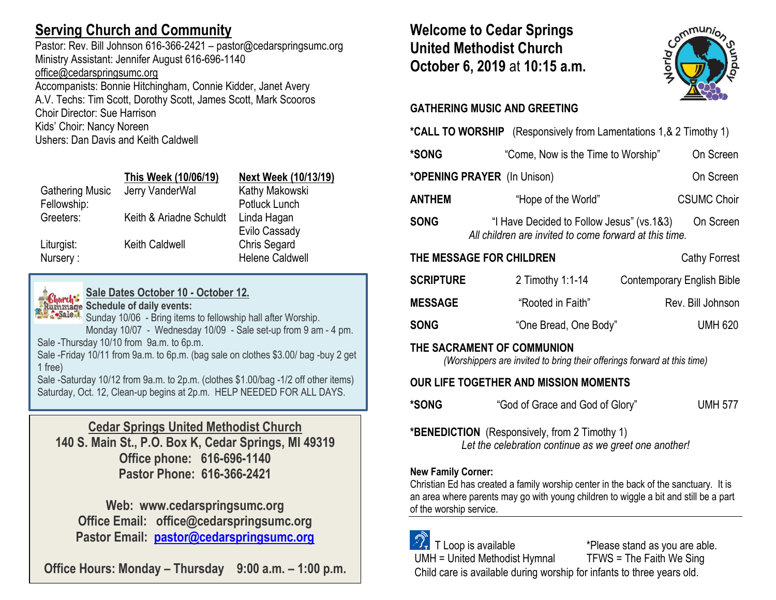# **Serving Church and Community**

Pastor: Rev. Bill Johnson 616-366-2421 – pastor@cedarspringsumc.org Ministry Assistant: Jennifer August 616-696-1140 [office@cedarspringsumc.org](mailto:office@cedarspringsumc.org)

Accompanists: Bonnie Hitchingham, Connie Kidder, Janet Avery A.V. Techs: Tim Scott, Dorothy Scott, James Scott, Mark Scooros Choir Director: Sue Harrison Kids' Choir: Nancy Noreen Ushers: Dan Davis and Keith Caldwell

|                        | This Week (10/06/19)    | <b>Next Week (10/13/19)</b> |
|------------------------|-------------------------|-----------------------------|
| <b>Gathering Music</b> | Jerry VanderWal         | Kathy Makowski              |
| Fellowship:            |                         | Potluck Lunch               |
| Greeters:              | Keith & Ariadne Schuldt | Linda Hagan                 |
|                        |                         | Evilo Cassady               |
| Liturgist:             | <b>Keith Caldwell</b>   | <b>Chris Segard</b>         |
| Nursery:               |                         | <b>Helene Caldwell</b>      |
|                        |                         |                             |



## **Sale Dates October 10 - October 12.**

**Rummage Schedule of daily events:** 

Sunday 10/06 - Bring items to fellowship hall after Worship. Monday 10/07 - Wednesday 10/09 - Sale set-up from 9 am - 4 pm. Sale -Thursday 10/10 from 9a.m. to 6p.m.

Sale -Friday 10/11 from 9a.m. to 6p.m. (bag sale on clothes \$3.00/ bag -buy 2 get 1 free)

Sale -Saturday 10/12 from 9a.m. to 2p.m. (clothes \$1.00/bag -1/2 off other items) Saturday, Oct. 12, Clean-up begins at 2p.m. HELP NEEDED FOR ALL DAYS.

## **Cedar Springs United Methodist Church**

**140 S. Main St., P.O. Box K, Cedar Springs, MI 49319 Office phone: 616-696-1140 Pastor Phone: 616-366-2421**

**Web: www.cedarspringsumc.org Office Email: office@cedarspringsumc.org Pastor Email: [pastor@cedarspringsumc.org](mailto:pastor@cedarspringsumc.org)**

**Office Hours: Monday – Thursday 9:00 a.m. – 1:00 p.m.**

# **Welcome to Cedar Springs United Methodist Church October 6, 2019** at **10:15 a.m.**



## **GATHERING MUSIC AND GREETING**

| *CALL TO WORSHIP (Responsively from Lamentations 1, & 2 Timothy 1)                                    |                                                                                                      |                                   |  |  |
|-------------------------------------------------------------------------------------------------------|------------------------------------------------------------------------------------------------------|-----------------------------------|--|--|
| *SONG                                                                                                 | "Come, Now is the Time to Worship"                                                                   | On Screen                         |  |  |
| *OPENING PRAYER (In Unison)                                                                           |                                                                                                      | On Screen                         |  |  |
| <b>ANTHEM</b>                                                                                         | "Hope of the World"                                                                                  | <b>CSUMC Choir</b>                |  |  |
| <b>SONG</b>                                                                                           | "I Have Decided to Follow Jesus" (vs. 1&3)<br>All children are invited to come forward at this time. | On Screen                         |  |  |
| THE MESSAGE FOR CHILDREN                                                                              |                                                                                                      | Cathy Forrest                     |  |  |
| <b>SCRIPTURE</b>                                                                                      | 2 Timothy 1:1-14                                                                                     | <b>Contemporary English Bible</b> |  |  |
| <b>MESSAGE</b>                                                                                        | "Rooted in Faith"                                                                                    | Rev. Bill Johnson                 |  |  |
| <b>SONG</b>                                                                                           | "One Bread, One Body"                                                                                | <b>UMH 620</b>                    |  |  |
| THE SACRAMENT OF COMMUNION<br>(Worshippers are invited to bring their offerings forward at this time) |                                                                                                      |                                   |  |  |

## **OUR LIFE TOGETHER AND MISSION MOMENTS**

**\*SONG** "God of Grace and God of Glory" UMH 577

**\*BENEDICTION** (Responsively, from 2 Timothy 1) *Let the celebration continue as we greet one another!*

## **New Family Corner:**

Christian Ed has created a family worship center in the back of the sanctuary. It is an area where parents may go with young children to wiggle a bit and still be a part of the worship service.

 $\mathcal{D}_{\mathbf{r}}$  T Loop is available  $\mathcal{D}_{\mathbf{r}}$  \*Please stand as you are able. UMH = United Methodist Hymnal TFWS = The Faith We Sing Child care is available during worship for infants to three years old.